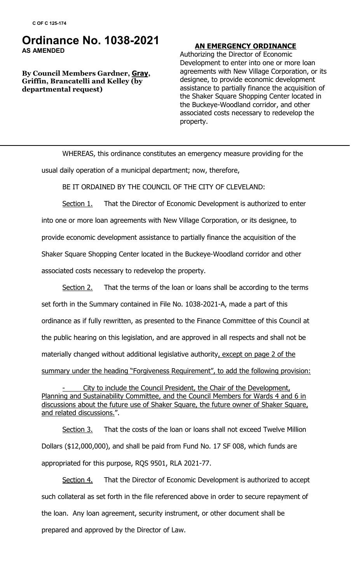## **Ordinance No. 1038-2021 AS AMENDED**

**By Council Members Gardner, Gray, Griffin, Brancatelli and Kelley (by departmental request)**

## **AN EMERGENCY ORDINANCE**

Authorizing the Director of Economic Development to enter into one or more loan agreements with New Village Corporation, or its designee, to provide economic development assistance to partially finance the acquisition of the Shaker Square Shopping Center located in the Buckeye-Woodland corridor, and other associated costs necessary to redevelop the property.

WHEREAS, this ordinance constitutes an emergency measure providing for the

usual daily operation of a municipal department; now, therefore,

BE IT ORDAINED BY THE COUNCIL OF THE CITY OF CLEVELAND:

Section 1. That the Director of Economic Development is authorized to enter into one or more loan agreements with New Village Corporation, or its designee, to provide economic development assistance to partially finance the acquisition of the Shaker Square Shopping Center located in the Buckeye-Woodland corridor and other associated costs necessary to redevelop the property.

Section 2. That the terms of the loan or loans shall be according to the terms set forth in the Summary contained in File No. 1038-2021-A, made a part of this ordinance as if fully rewritten, as presented to the Finance Committee of this Council at the public hearing on this legislation, and are approved in all respects and shall not be materially changed without additional legislative authority, except on page 2 of the summary under the heading "Forgiveness Requirement", to add the following provision:

City to include the Council President, the Chair of the Development, Planning and Sustainability Committee, and the Council Members for Wards 4 and 6 in discussions about the future use of Shaker Square, the future owner of Shaker Square, and related discussions.".

Section 3. That the costs of the loan or loans shall not exceed Twelve Million Dollars (\$12,000,000), and shall be paid from Fund No. 17 SF 008, which funds are appropriated for this purpose, RQS 9501, RLA 2021-77.

Section 4. That the Director of Economic Development is authorized to accept such collateral as set forth in the file referenced above in order to secure repayment of the loan. Any loan agreement, security instrument, or other document shall be prepared and approved by the Director of Law.